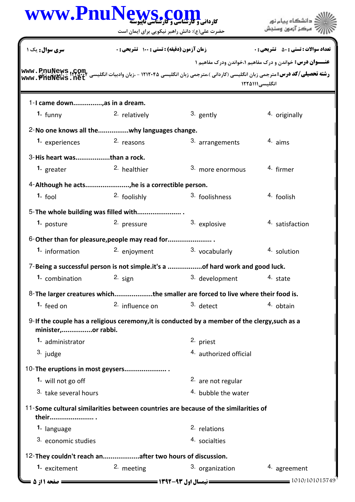|                                  | www.PnuNews.com                                                |                                                                                                                                                                                                                                                    | دانشگاه بیام نور                                                |
|----------------------------------|----------------------------------------------------------------|----------------------------------------------------------------------------------------------------------------------------------------------------------------------------------------------------------------------------------------------------|-----------------------------------------------------------------|
|                                  | حضرت علی(ع): دانش راهبر نیکویی برای ایمان است                  |                                                                                                                                                                                                                                                    |                                                                 |
| <b>سری سوال :</b> یک ۱           | <b>زمان آزمون (دقیقه) : تستی : 100 تشریحی : 0</b>              |                                                                                                                                                                                                                                                    | <b>تعداد سوالات : تستي : 50 ٪ تشريحي : 0</b>                    |
|                                  |                                                                |                                                                                                                                                                                                                                                    | <b>عنـــوان درس:</b> خواندن و درک مفاهیم ۱،خواندن ودرک مفاهیم ۱ |
|                                  |                                                                | <b>رشته تحصیلی/کد درس:</b> مترجمی زبان انگلیسی (کاردانی )،مترجمی زبان انگلیسی ۱۲۱۲۰۴۵ - ،زبان وادبیات انگلیسی <b>۲۲٬۵۲۳۰ - ۱۲۱۵٬۲</b> ۰۰ میلایا<br><b>در استه تحصیلی/کد درس:</b> مترجمی زبان انگلیسی (کاردانی )،مترجمی زبان انگلیسی ۱۲۱۲۰۴۵ - ،زبا | انگلیسی ۱۲۲۵۱۱۱                                                 |
| 1-I came down, as in a dream.    |                                                                |                                                                                                                                                                                                                                                    |                                                                 |
| 1. funny                         | <sup>2.</sup> relatively                                       | 3. gently                                                                                                                                                                                                                                          | 4. originally                                                   |
|                                  | 2-No one knows all thewhy languages change.                    |                                                                                                                                                                                                                                                    |                                                                 |
| 1. experiences                   | 2. reasons                                                     | 3. arrangements                                                                                                                                                                                                                                    | $4.$ aims                                                       |
| 3-His heart wasthan a rock.      |                                                                |                                                                                                                                                                                                                                                    |                                                                 |
| 1. greater                       | <sup>2.</sup> healthier                                        | 3. more enormous                                                                                                                                                                                                                                   | <sup>4.</sup> firmer                                            |
|                                  | 4-Although he acts, he is a correctible person.                |                                                                                                                                                                                                                                                    |                                                                 |
| 1. $f$ ool                       | 2. foolishly                                                   | 3. foolishness                                                                                                                                                                                                                                     | 4. foolish                                                      |
|                                  | 5-The whole building was filled with                           |                                                                                                                                                                                                                                                    |                                                                 |
| 1. posture                       | 2. pressure                                                    | 3. explosive                                                                                                                                                                                                                                       | <sup>4</sup> satisfaction                                       |
|                                  |                                                                |                                                                                                                                                                                                                                                    |                                                                 |
| 1. information                   | 6-Other than for pleasure, people may read for<br>2. enjoyment | 3. vocabularly                                                                                                                                                                                                                                     | 4. solution                                                     |
|                                  |                                                                |                                                                                                                                                                                                                                                    |                                                                 |
|                                  |                                                                | 7-Being a successful person is not simple.it's a of hard work and good luck.                                                                                                                                                                       |                                                                 |
| 1. combination                   | 2. $sign$                                                      | 3. development                                                                                                                                                                                                                                     | 4. state                                                        |
|                                  |                                                                | 8-The larger creatures whichthe smaller are forced to live where their food is.                                                                                                                                                                    |                                                                 |
| <sup>1.</sup> feed on            | 2. influence on                                                | 3. detect                                                                                                                                                                                                                                          | 4. obtain                                                       |
| minister,or rabbi.               |                                                                | 9-If the couple has a religious ceremony, it is conducted by a member of the clergy, such as a                                                                                                                                                     |                                                                 |
| 1. administrator                 |                                                                | 2. priest                                                                                                                                                                                                                                          |                                                                 |
| 3. judge                         |                                                                | 4. authorized official                                                                                                                                                                                                                             |                                                                 |
| 10-The eruptions in most geysers |                                                                |                                                                                                                                                                                                                                                    |                                                                 |
| 1. will not go off               |                                                                | 2. are not regular                                                                                                                                                                                                                                 |                                                                 |
| 3. take several hours            |                                                                | 4. bubble the water                                                                                                                                                                                                                                |                                                                 |
| their                            |                                                                | 11-Some cultural similarities between countries are because of the similarities of                                                                                                                                                                 |                                                                 |
| 1. language                      |                                                                | <sup>2.</sup> relations                                                                                                                                                                                                                            |                                                                 |
| 3. economic studies              |                                                                | 4. socialties                                                                                                                                                                                                                                      |                                                                 |
|                                  | 12-They couldn't reach anafter two hours of discussion.        |                                                                                                                                                                                                                                                    |                                                                 |
| 1. excitement                    | 2. meeting                                                     | 3. organization                                                                                                                                                                                                                                    | 4. agreement                                                    |
| صفحه ۱ از 5                      |                                                                | = نیمسال اول ۹۳-۱۳۹۲ <del>--------</del>                                                                                                                                                                                                           | $= 1010/101015749$                                              |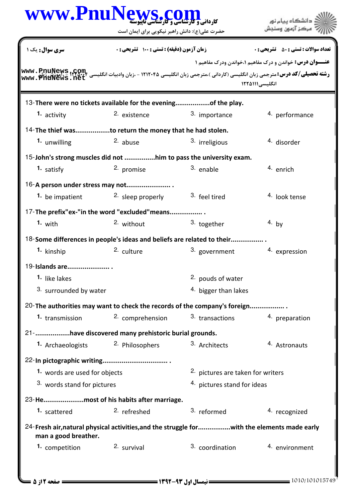|                               | حضرت علی(ع): دانش راهبر نیکویی برای ایمان است                                                                                                                                                                                                      |                                   | مرڪز آزمون وس                                                   |
|-------------------------------|----------------------------------------------------------------------------------------------------------------------------------------------------------------------------------------------------------------------------------------------------|-----------------------------------|-----------------------------------------------------------------|
| <b>سری سوال :</b> یک ۱        | <b>زمان آزمون (دقیقه) : تستی : 100 تشریحی : 0</b>                                                                                                                                                                                                  |                                   | <b>تعداد سوالات : تستي : 50 ٪ تشريحي : 0</b>                    |
|                               |                                                                                                                                                                                                                                                    |                                   | <b>عنـــوان درس:</b> خواندن و درک مفاهیم ۱،خواندن ودرک مفاهیم ۱ |
| www.PhuNews.net               | <b>رشته تحصیلی/کد درس:</b> مترجمی زبان انگلیسی (کاردانی )،مترجمی زبان انگلیسی ۱۲۱۲۰۴۵ - ،زبان وادبیات انگلیسی ۲۰۰۴۱۲۰۴۲ <u>- ایمونین زبان</u><br>در استه ت <b>حصیلی/کد درس:</b> مترجمی زبان انگلیسی (کاردانی )،مترجمی زبان انگلیسی ۱۲۱۲۰۴۵ - ،زبان |                                   | انگلیسی۱۲۲۵۱۱۱                                                  |
|                               | 13- There were no tickets available for the eveningof the play.                                                                                                                                                                                    |                                   |                                                                 |
| 1. activity                   | <sup>2.</sup> existence                                                                                                                                                                                                                            | 3. importance                     | 4. performance                                                  |
|                               | 14-The thief wasto return the money that he had stolen.                                                                                                                                                                                            |                                   |                                                                 |
| 1. unwilling                  | 2. abuse                                                                                                                                                                                                                                           | <sup>3.</sup> irreligious         | <sup>4.</sup> disorder                                          |
|                               | 15-John's strong muscles did not him to pass the university exam.                                                                                                                                                                                  |                                   |                                                                 |
| 1. satisfy                    | <sup>2.</sup> promise                                                                                                                                                                                                                              | 3. enable                         | 4. enrich                                                       |
|                               | 16-A person under stress may not                                                                                                                                                                                                                   |                                   |                                                                 |
| 1. be impatient               | <sup>2.</sup> sleep properly                                                                                                                                                                                                                       | 3. feel tired                     | <sup>4.</sup> look tense                                        |
|                               | 17-The prefix"ex-"in the word "excluded"means                                                                                                                                                                                                      |                                   |                                                                 |
| 1. with                       | 2. without                                                                                                                                                                                                                                         | 3. together                       | 4. by                                                           |
|                               | 18-Some differences in people's ideas and beliefs are related to their                                                                                                                                                                             |                                   |                                                                 |
| 1. kinship                    | 2. culture                                                                                                                                                                                                                                         | 3. government                     | 4. expression                                                   |
| 19-Islands are                |                                                                                                                                                                                                                                                    |                                   |                                                                 |
| 1. like lakes                 |                                                                                                                                                                                                                                                    | 2. pouds of water                 |                                                                 |
| 3. surrounded by water        |                                                                                                                                                                                                                                                    | 4. bigger than lakes              |                                                                 |
|                               |                                                                                                                                                                                                                                                    |                                   |                                                                 |
| <b>1.</b> transmission        | 20-The authorities may want to check the records of the company's foreign<br>2. comprehension                                                                                                                                                      | 3. transactions                   | 4. preparation                                                  |
|                               |                                                                                                                                                                                                                                                    |                                   |                                                                 |
|                               | 21- have discovered many prehistoric burial grounds.<br>1. Archaeologists 2. Philosophers                                                                                                                                                          | 3. Architects                     | 4. Astronauts                                                   |
|                               |                                                                                                                                                                                                                                                    |                                   |                                                                 |
|                               |                                                                                                                                                                                                                                                    |                                   |                                                                 |
| 1. words are used for objects |                                                                                                                                                                                                                                                    | 2. pictures are taken for writers |                                                                 |
| 3. words stand for pictures   |                                                                                                                                                                                                                                                    | 4. pictures stand for ideas       |                                                                 |
|                               | 23-Hemost of his habits after marriage.                                                                                                                                                                                                            |                                   |                                                                 |
| 1. scattered                  | <sup>2.</sup> refreshed                                                                                                                                                                                                                            | 3. reformed                       | 4. recognized                                                   |
| man a good breather.          | 24-Fresh air, natural physical activities, and the struggle forwith the elements made early                                                                                                                                                        |                                   |                                                                 |
| 1. competition                | 2. survival                                                                                                                                                                                                                                        | 3. coordination                   | 4. environment                                                  |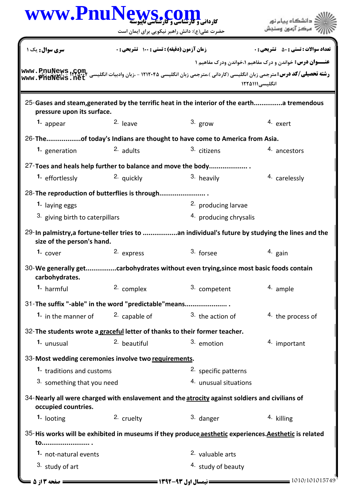| WWW.PnuNews.com                                                                                                                                           |                                            | حضرت علی(ع): دانش راهبر نیکویی برای ایمان است | مركز آزمون وسنجش                                                                                 |
|-----------------------------------------------------------------------------------------------------------------------------------------------------------|--------------------------------------------|-----------------------------------------------|--------------------------------------------------------------------------------------------------|
| <b>سری سوال:</b> یک ۱                                                                                                                                     | زمان آزمون (دقیقه) : تستی : 100 تشریحی : 0 |                                               | <b>تعداد سوالات : تستي : 50 ٪ تشريحي : 0</b>                                                     |
| مس PpuNews ,COm.<br>Www . Phinikevs , Mari – 1114. 19 انگلیسی (کاردانی )،مترجمی زبان انگلیسی ۱۲۱۲۰۴۵ – ،زبان وادبیات انگلیسی Thiat<br>Www . PhuNews . net |                                            |                                               | <b>عنـــوان درس:</b> خواندن و درک مفاهیم ۱،خواندن ودرک مفاهیم ۱<br>انگلیسی ۱۲۲۵۱۱۱               |
| 25-Gases and steam, generated by the terrific heat in the interior of the earth a tremendous<br>pressure upon its surface.                                |                                            |                                               |                                                                                                  |
| 1. appear                                                                                                                                                 | 2. leave                                   | $3.$ grow                                     | 4. exert                                                                                         |
| 26-Theof today's Indians are thought to have come to America from Asia.                                                                                   |                                            |                                               |                                                                                                  |
| 1. generation                                                                                                                                             | 2. adults                                  | 3. citizens                                   | 4. ancestors                                                                                     |
| 27-Toes and heals help further to balance and move the body                                                                                               |                                            |                                               |                                                                                                  |
| 1. effortlessly                                                                                                                                           | <sup>2.</sup> quickly                      | 3. heavily                                    | 4. carelessly                                                                                    |
| 28-The reproduction of butterflies is through                                                                                                             |                                            |                                               |                                                                                                  |
| 1. laying eggs                                                                                                                                            |                                            | <sup>2.</sup> producing larvae                |                                                                                                  |
| 3. giving birth to caterpillars                                                                                                                           |                                            | <sup>4.</sup> producing chrysalis             |                                                                                                  |
| size of the person's hand.                                                                                                                                |                                            |                                               | 29-In palmistry, a fortune-teller tries to  an individual's future by studying the lines and the |
| 1. $cover$                                                                                                                                                | 2. express                                 | 3. forsee                                     | $4.$ gain                                                                                        |
| 30-We generally getcarbohydrates without even trying, since most basic foods contain<br>carbohydrates.                                                    |                                            |                                               |                                                                                                  |
| 1. harmful                                                                                                                                                | 2. complex                                 | 3. competent                                  | 4. ample                                                                                         |
| 31-The suffix "-able" in the word "predictable" means                                                                                                     |                                            |                                               |                                                                                                  |
| 1. in the manner of                                                                                                                                       | 2. capable of                              | $3.$ the action of                            | <sup>4</sup> the process of                                                                      |
| 32- The students wrote a graceful letter of thanks to their former teacher.                                                                               |                                            |                                               |                                                                                                  |
| 1. unusual                                                                                                                                                | 2. beautiful                               | 3. emotion                                    | 4. important                                                                                     |
| 33-Most wedding ceremonies involve two requirements.                                                                                                      |                                            |                                               |                                                                                                  |
|                                                                                                                                                           | 1. traditions and customs                  |                                               |                                                                                                  |
| 3. something that you need                                                                                                                                |                                            | 4. unusual situations                         |                                                                                                  |
| 34-Nearly all were charged with enslavement and the atrocity against soldiers and civilians of<br>occupied countries.                                     |                                            |                                               |                                                                                                  |
| 1. looting                                                                                                                                                | 2. cruelty                                 | 3. danger                                     | 4. killing                                                                                       |
| 35-His works will be exhibited in museums if they produce aesthetic experiences. Aesthetic is related<br>to                                               |                                            |                                               |                                                                                                  |
| 1. not-natural events                                                                                                                                     |                                            | 2. valuable arts                              |                                                                                                  |
| 3. study of art                                                                                                                                           |                                            | <sup>4.</sup> study of beauty                 |                                                                                                  |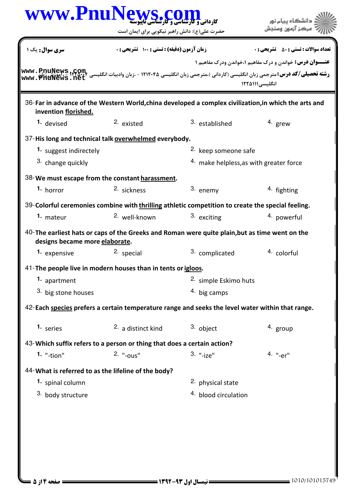| سری سوال: یک ۱<br>ww.PnuNews.com<br>www.PhuNews.net<br>36-Far in advance of the Western World, china developed a complex civilization, in which the arts and<br>invention florished.<br>2. existed<br>1. devised<br>37-His long and technical talk overwhelmed everybody.<br>1. suggest indirectely<br>3. change quickly<br>38-We must escape from the constant harassment.<br>1. horror<br>39-Colorful ceremonies combine with thrilling athletic competition to create the special feeling.<br>1. mateur<br>40-The earliest hats or caps of the Greeks and Roman were quite plain, but as time went on the | زمان آزمون (دقیقه) : تستی : 100 تشریحی : 0<br>2. sickness | 3. established<br><sup>2.</sup> keep someone safe<br>3. enemy | <b>تعداد سوالات : تستي : 50 ٪ تشريحي : 0</b><br><b>عنــوان درس:</b> خواندن و درک مفاهیم ۱،خواندن ودرک مفاهیم ۱<br><b>رشته تحصیلی/کد درس:</b> مترجمی زبان انگلیسی (کاردانی )،مترجمی زبان انگلیسی ۱۲۱۲۰۴۵ - ،زبان وادبیات انگلیسی<br>انگلیسی۱۱۱۵۱۱۱<br>4. grew<br><sup>4.</sup> make helpless, as with greater force |
|--------------------------------------------------------------------------------------------------------------------------------------------------------------------------------------------------------------------------------------------------------------------------------------------------------------------------------------------------------------------------------------------------------------------------------------------------------------------------------------------------------------------------------------------------------------------------------------------------------------|-----------------------------------------------------------|---------------------------------------------------------------|--------------------------------------------------------------------------------------------------------------------------------------------------------------------------------------------------------------------------------------------------------------------------------------------------------------------|
|                                                                                                                                                                                                                                                                                                                                                                                                                                                                                                                                                                                                              |                                                           |                                                               |                                                                                                                                                                                                                                                                                                                    |
|                                                                                                                                                                                                                                                                                                                                                                                                                                                                                                                                                                                                              |                                                           |                                                               |                                                                                                                                                                                                                                                                                                                    |
|                                                                                                                                                                                                                                                                                                                                                                                                                                                                                                                                                                                                              |                                                           |                                                               |                                                                                                                                                                                                                                                                                                                    |
|                                                                                                                                                                                                                                                                                                                                                                                                                                                                                                                                                                                                              |                                                           |                                                               |                                                                                                                                                                                                                                                                                                                    |
|                                                                                                                                                                                                                                                                                                                                                                                                                                                                                                                                                                                                              |                                                           |                                                               |                                                                                                                                                                                                                                                                                                                    |
|                                                                                                                                                                                                                                                                                                                                                                                                                                                                                                                                                                                                              |                                                           |                                                               |                                                                                                                                                                                                                                                                                                                    |
|                                                                                                                                                                                                                                                                                                                                                                                                                                                                                                                                                                                                              |                                                           |                                                               |                                                                                                                                                                                                                                                                                                                    |
|                                                                                                                                                                                                                                                                                                                                                                                                                                                                                                                                                                                                              |                                                           |                                                               |                                                                                                                                                                                                                                                                                                                    |
|                                                                                                                                                                                                                                                                                                                                                                                                                                                                                                                                                                                                              |                                                           |                                                               | 4. fighting                                                                                                                                                                                                                                                                                                        |
|                                                                                                                                                                                                                                                                                                                                                                                                                                                                                                                                                                                                              |                                                           |                                                               |                                                                                                                                                                                                                                                                                                                    |
|                                                                                                                                                                                                                                                                                                                                                                                                                                                                                                                                                                                                              | <sup>2.</sup> well-known                                  | 3. exciting                                                   | <sup>4.</sup> powerful                                                                                                                                                                                                                                                                                             |
| designs became more elaborate.                                                                                                                                                                                                                                                                                                                                                                                                                                                                                                                                                                               |                                                           |                                                               |                                                                                                                                                                                                                                                                                                                    |
| <sup>2.</sup> special<br>1. expensive                                                                                                                                                                                                                                                                                                                                                                                                                                                                                                                                                                        |                                                           | 3. complicated                                                | <sup>4.</sup> colorful                                                                                                                                                                                                                                                                                             |
| 41-The people live in modern houses than in tents or igloos.                                                                                                                                                                                                                                                                                                                                                                                                                                                                                                                                                 |                                                           |                                                               |                                                                                                                                                                                                                                                                                                                    |
| 1. apartment                                                                                                                                                                                                                                                                                                                                                                                                                                                                                                                                                                                                 |                                                           | 2. simple Eskimo huts                                         |                                                                                                                                                                                                                                                                                                                    |
| 3. big stone houses                                                                                                                                                                                                                                                                                                                                                                                                                                                                                                                                                                                          |                                                           | 4. big camps                                                  |                                                                                                                                                                                                                                                                                                                    |
| 42-Each species prefers a certain temperature range and seeks the level water within that range.                                                                                                                                                                                                                                                                                                                                                                                                                                                                                                             |                                                           |                                                               |                                                                                                                                                                                                                                                                                                                    |
| 1. series                                                                                                                                                                                                                                                                                                                                                                                                                                                                                                                                                                                                    | 2. a distinct kind                                        | 3. object                                                     | 4. group                                                                                                                                                                                                                                                                                                           |
| 43-Which suffix refers to a person or thing that does a certain action?                                                                                                                                                                                                                                                                                                                                                                                                                                                                                                                                      |                                                           |                                                               |                                                                                                                                                                                                                                                                                                                    |
| 2. "-ous"<br>1. $"$ -tion"                                                                                                                                                                                                                                                                                                                                                                                                                                                                                                                                                                                   |                                                           | $3.$ "- $ize"$                                                | 4. "-er"                                                                                                                                                                                                                                                                                                           |
| 44-What is referred to as the lifeline of the body?                                                                                                                                                                                                                                                                                                                                                                                                                                                                                                                                                          |                                                           |                                                               |                                                                                                                                                                                                                                                                                                                    |
| 1. spinal column                                                                                                                                                                                                                                                                                                                                                                                                                                                                                                                                                                                             |                                                           | 2. physical state                                             |                                                                                                                                                                                                                                                                                                                    |
| 3. body structure                                                                                                                                                                                                                                                                                                                                                                                                                                                                                                                                                                                            |                                                           | <sup>4.</sup> blood circulation                               |                                                                                                                                                                                                                                                                                                                    |